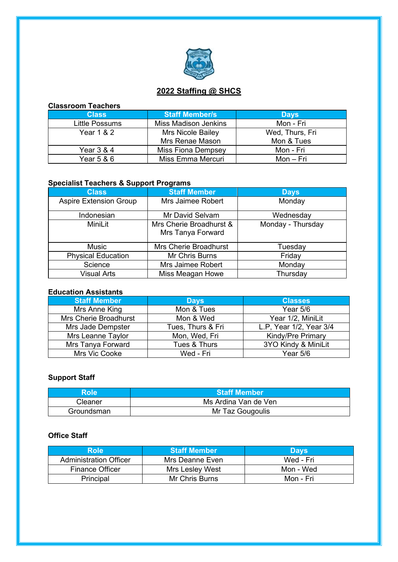

## **2022 Staffing @ SHCS**

| <b>Classroom Teachers</b> |                             |                 |  |
|---------------------------|-----------------------------|-----------------|--|
| <b>Class</b>              | <b>Staff Member/s</b>       | <b>Days</b>     |  |
| Little Possums            | <b>Miss Madison Jenkins</b> | Mon - Fri       |  |
| <b>Year 1 &amp; 2</b>     | Mrs Nicole Bailey           | Wed, Thurs, Fri |  |
|                           | Mrs Renae Mason             | Mon & Tues      |  |
| Year 3 & 4                | <b>Miss Fiona Dempsey</b>   | Mon - Fri       |  |
| Year 5 & 6                | Miss Emma Mercuri           | Mon – Fri       |  |

## **Specialist Teachers & Support Programs**

| <b>Class</b>                  | <b>Staff Member</b>                          | <b>Days</b>       |
|-------------------------------|----------------------------------------------|-------------------|
| <b>Aspire Extension Group</b> | Mrs Jaimee Robert                            | Monday            |
| Indonesian                    | Mr David Selvam                              | Wednesday         |
| MiniLit                       | Mrs Cherie Broadhurst &<br>Mrs Tanya Forward | Monday - Thursday |
| <b>Music</b>                  | Mrs Cherie Broadhurst                        | Tuesday           |
| <b>Physical Education</b>     | Mr Chris Burns                               | Friday            |
| Science                       | Mrs Jaimee Robert                            | Monday            |
| <b>Visual Arts</b>            | Miss Meagan Howe                             | Thursday          |

#### **Education Assistants**

| <b>Staff Member</b>   | <b>Days</b>       | <b>Classes</b>           |
|-----------------------|-------------------|--------------------------|
| Mrs Anne King         | Mon & Tues        | Year $5/6$               |
| Mrs Cherie Broadhurst | Mon & Wed         | Year 1/2, MiniLit        |
| Mrs Jade Dempster     | Tues, Thurs & Fri | L.P, Year 1/2, Year 3/4  |
| Mrs Leanne Taylor     | Mon, Wed, Fri     | <b>Kindy/Pre Primary</b> |
| Mrs Tanya Forward     | Tues & Thurs      | 3YO Kindy & MiniLit      |
| Mrs Vic Cooke         | Wed - Fri         | Year 5/6                 |

## **Support Staff**

| Role       | <b>Staff Member</b>  |  |
|------------|----------------------|--|
| Cleaner    | Ms Ardina Van de Ven |  |
| Groundsman | Mr Taz Gougoulis     |  |

#### **Office Staff**

| <b>Role</b>                   | <b>Staff Member</b>   | <b>Days</b> |
|-------------------------------|-----------------------|-------------|
| <b>Administration Officer</b> | Mrs Deanne Even       | Wed - Fri   |
| <b>Finance Officer</b>        | Mrs Lesley West       | Mon - Wed   |
| Principal                     | <b>Mr Chris Burns</b> | Mon - Fri   |